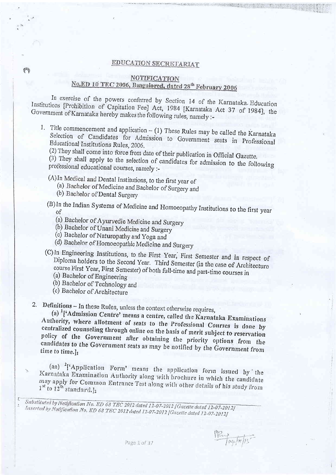## EDUCATION SECRETARIAT

## NOTIFICATION

## No.ED 10 TEC 2006, Bangalored, dated 28<sup>th</sup> February 2006

In exercise of the powers conferred by Section 14 of the Karnataka Education Institutions [Prohibition of Capitation Fee] Act, 1984 [Karnataka Act 37 of 1984], the Government of Karnataka hereby makes the following rules, namely :-

1. Title commencement and application  $-$  (1) These Rules may be called the Karnataka Selection of Candidates for Admission to Government seats in Professional Educational Institutions Rules, 2006.

(2) They shall come into force from date of their publication in Official Gazette.

(3) They shall apply to the selection of candidates for admission to the following professional educational courses, namely :-

(A) In Medical and Dental Institutions, to the first year of

(a) Bachelor of Medicine and Bachelor of Surgery and

(b) Bachelor of Dental Surgery

&

- (B) In the Indian Systems of Medicine and Homoeopathy Institutions to the first year <sub>of</sub>
	- (a) Bachelor of Ayurvedic Medicine and Surgery
	- (b) Bachelor of Unani Medicine and Surgery
	- (c) Bachelor of Naturopathy and Yoga and
	- (d) Bachelor of Homoeopathic Medicine and Surgery

(C) In Engineering Institutions, to the First Year, First Semester and in respect of Diploma holders to the Second Year. Third Semester (in the case of Architecture course First Year, First Semester) of both full-time and part-time courses in

- (a) Bachelor of Engineering
- (b) Bachelor of Technology and
- (c) Bachelor of Architecture

2. Definitions - In these Rules, unless the context otherwise requires,

(a)  $\frac{1}{4}$  ['Admission Centre' means a centre, called the Karnataka Examinations Authority, where allotment of seats to the Professional Courses is done by centralized counseling through online on the basis of merit subject to reservation policy of the Government after obtaining the priority options from the candidates to the Government seats as may be notified by the Government from time to time.l1

(aa) <sup>2</sup>['Application Form' means the application form issued by the Karnataka Examination Authority along with brochure in which the candidate may apply for Common Entrance Test along with other details of his study from  $1^{st}$  to  $12^{th}$  standard.]<sub>2</sub>

Substituted by Notification No. ED 68 TEC 2012 dated 12-07-2012 [Gazette dated 12-07-2012] Inserted by Notification No. ED 68 TEC 2012 dated 12-07-2012 [Gazette dated 12-07-2012]

PRINT og for /15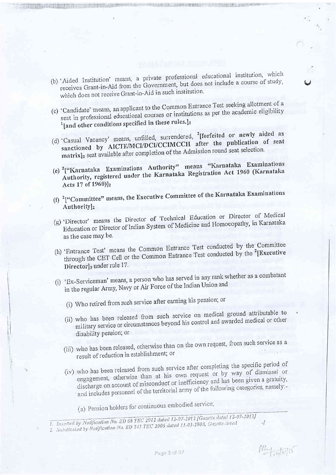- (b) 'Aided Institution' means, a private professional educational institution, which receives Grant-in-Aid from the Government, but does not include a course of study, which does not receive Grant-in-Aid in such institution.
- (c) 'Candidate' means, an applicant to the Common Entrance Test seeking allotment of a seat in professional educational courses or institutions as per the academic eligibility <sup>1</sup>[and other conditions specified in these rules.]1
- (d) 'Casual Vacancy' means, unfilled, surrendered, <sup>2</sup>[forfeited or newly aided as sanctioned by AICTE/MCI/DCI/CCIMCCH after the publication of sent matrix]<sub>2</sub> seat available after completion of the Admission round seat selection.
- (e) <sup>2</sup>["Karnataka Examinations Authority" means "Karnataka Examinations Authority, registered under the Karnataka Registration Act 1960 (Karnataka Acts 17 of 1960)]<sub>2</sub>
- (f)  $2$ ["Committee" means, the Executive Committee of the Karnataka Examinations Authority<sub>l2</sub>
- (g) 'Director' means the Director of Technical Education or Director of Medical Education or Director of Indian System of Medicine and Homoeopathy, in Karnataka as the case may be.
- (h) 'Entrance Test' means the Common Entrance Test conducted by the Committee through the CET Cell or the Common Entrance Test conducted by the <sup>2</sup>[Executive Directorl<sub>2</sub> under rule 17.
- (i) 'Ex-Serviceman' means, a person who has served in any rank whether as a combatant in the regular Army, Navy or Air Force of the Indian Union and
	- (i) Who retired from such service after earning his pension; or
	- (ii) who has been released from such service on medical ground attributable to military service or circumstances beyond his control and awarded medical or other disability pension; or
	- (iii) who has been released, otherwise than on the own request, from such service as a result of reduction in establishment; or
	- (iv) who has been released from such service after completing the specific period of engagement, otherwise than at his own request or by way of dismissal or discharge on account of misconduct or inefficiency and has been given a gratuity, and includes personnel of the territorial army of the following categories, namely:-

(a) Pension holders for continuous embodied service;

I. Inserted by Notification No. ED 68 TEC 2012 dated 12-07-2012 [Gazette dated 12-07-2012] 2. Substituted by Notification No. ED 243 TEC 2006 dated 11-03-2008, Gazette dated  $\cdot$ /

The company of the company of the company of the company of the company of the company of the company of the company of the company of the company of the company of the company of the company of the company of the company

Pay alail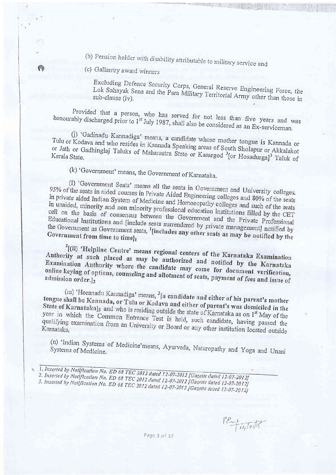(b) Pension holder with disability attributable to military service and

(c) Gallantry award winners

(A)

Excluding Defence Security Corps, General Reserve Engineering Force, the Lok Sahayak Sena and the Para Military Territorial Army other than those in

Provided that a person, who has served for not less than five years and was honourably discharged prior to 1<sup>st</sup> July 1987, shall also be considered as an Ex-serviceman.

(j) 'Gadinadu Kannadiga' means, a candidate whose mother tongue is Kannada or Tulu or Kodava and who resides in Kannada Speaking areas of South Sholapur or Akkalakot or Jath or Gadhinglaj Taluks of Maharastra State or Kasargod <sup>3</sup>[or Hosadurga]<sup>3</sup> Taluk of

(k) 'Government' means, the Government of Karnataka.

(I) 'Government Seats' means all the seats in Government and University colleges. 95% of the seats in aided courses in Private Aided Engineering colleges and 80% of the seats in private aided Indian System of Medicine and Homoeopathy colleges and such of the seats in unaided, minority and non minority professional education institutions filled by the CET cell on the basis of consensus between the Government and the Private Professional Educational Institutions and [include seats surrendered by private management] notified by the Government as Government seats, <sup>1</sup>[includes any other seats as may be notified by the Government from time to time]1

<sup>2</sup>[(II) 'Helpline Centre' means regional centers of the Karnataka Examination Authority at such placed as may be authorized and notified by the Karnataka Examination Authority where the candidate may come for document verification, online keying of options, counseling and allotment of seats, payment of fees and issue of

(m) 'Horanadu Kannadiga' means, <sup>3</sup>[a candidate and either of his parent's mother tongue shall be Kannada, or Tulu or Kodava and either of parent's was domiciled in the State of Karnataka]<sub>3</sub> and who is residing outside the state of Karnataka as on 1<sup>st</sup> May of the year in which the Common Entrance Test is held, such candidate, having passed the qualifying examination from an University or Board or any other institution located outside

(n) 'Indian Systems of Medicine'means, Ayurveda, Naturopathy and Yoga and Unani Systems of Medicine.

PPm taptotts

Page 3 of 37

<sup>1.</sup> Inserted by Notlfloatlon No. ED 68 TEC 2012 dated 12-07-2012 [Gazette dated 12-07-2012] 2. Inserted by Notification No. ED 68 TEC 2012 dated 12-07-2012 [Gazette dated 12-07-2012] 3. Inserted by Notification No. ED 68 TEC 2012 dated 12-07-2012 [Gazette dated 12-07-2012]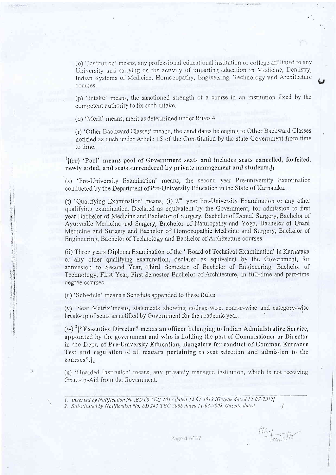(o) 'Institution' means, any professional educational institution or college affiliated to any University and carrying on the activity of imparting education in Medicine, Dentistry, Indian Systems of Medicine, Homoeopathy, Engineering, Technology and Architecture courses.

(p) 'Intake' means, the sanctioned strength of a course in an institution fixed by the competent authority to fix such intake.

(q) 'Merit' means, merit as determined under Rules 4.

(r) 'Other Backward Classes' means, the candidates belonging to Other Backward Classes notified as such under Article 15 of the Constitution by the state Government from time to time.

<sup>1</sup>[(rr) 'Pool' means pool of Government seats and includes seats cancelled, forfeited, newly aided, and seats surrendered by private management and students.

(s) 'Pre-University Examination' means, the second year Pre-university Examination conducted by the Department of Pre-University Education in the State of Karnataka.

(t) 'Oualifying Examination' means, (i)  $2^{nd}$  year Pre-University Examination or any other qualifying examination. Declared as equivalent by the Government, for admission to first year Bachelor of Medicine and Bachelor of Surgery, Bachelor of Dental Surgery, Bachelor of Ayurvedic Medicine and Surgery, Bachelor of Naturopathy and Yoga, Bachelor of Unani Medicine and Surgery and Bachelor of Homoeopathic Medicine and Surgery, Bachelor of Engineering, Bachelor of Technology and Bachelor of Architecture courses.

(ii) Three years Diploma Examination of the 'Board of Technical Examination' in Karnataka or any other qualifying examination, declared as equivalent by the Government, for admission to Second Year, Third Semester of Bachelor of Engineering, Bachelor of Technology, First Year, First Semester Bachelor of Architecture, in full-time and part-time degree courses.

(u) 'Schedule' means a Schedule appended to these Rules.

(v) 'Seat Matrix'means, statements showing college-wise, course-wise and category-wise break-up of seats as notified by Government for the academic year.

(w)  $\frac{2}{1}$ "Executive Director" means an officer belonging to Indian Administrative Service, appointed by the government and who is holding the post of Commissioner or Director in the Dept. of Pre-University Education, Bangalore for conduct of Common Entrance Test and regulation of all matters pertaining to seat selection and admission to the  $course$  $, |, |$ 

 $(x)$  'Unaided Institution' means, any privately managed institution, which is not receiving Grant-in-Aid from the Government.

 $\cdot$ 

 $\frac{R_{\rm m}}{R_{\rm mol} \rho /R}$ 

I. Inserted by Notlfication No. ED 68 TEC 2012 dated 12-07-2012 [Gazette dated 12-07-2012] 2. Substituted by Notification No. ED 243 TEC 2006 dated 11-03-2008, Gazette dated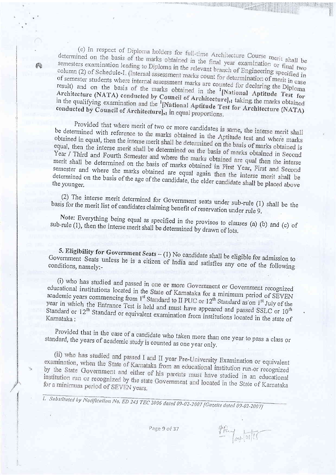(e) In respect of Diploma holders for full-time Architecture Course merit shall be determined on the basis of the marks obtained in the final year examination or final two semesters examination leading to Diploma in the relevant branch of Engineering specified in column (2) of Schedule-I. (Internal assessment marks count for determination of merit in case of semester students where internal assessment marks are counted for declaring the Diploma result) and on the basis of the marks obtained in the '[National Aptitude Test for Architecture (NATA) conducted by Council of Architecture], taking the marks obtained in the qualifying examination and the <sup>1</sup>[National Aptitude Test for Architecture (NATA) conducted by Council of Architecture],1 in equal proportions.

Provided that where merit of two or more candidates is same, the interse merit shall be determined with reference to the marks obtained in the Aptitude test and where marks obtained in equal, then the interse merit shall be determined on the basis of marks obtained is equal, then the interse merit shall be determined on the basis of marks obtained in Second Year / Third and Fourth Semester and where the marks obtained are qual then the interse merit shall be determined on the basis of marks obtained in First Year, First and Second semester and where the marks obtained are equal again then the interse merit shall be determined on the basis of the age of the candidate, the elder candidate shall be placed above

(2) The interse merit determined for Government seats under sub-rule (1) shall be the basis for the merit list of candidates claiming benefit of reservation under rule 9.

Note: Everything being equal as specified in the provisos to clauses (a) (b) and (c) of sub-rule (1), then the interse merit shall be determined by drawn of lots.

5. Eligibility for Government Seats - (1) No candidate shall be eligible for admission to Government Seats unless he is a citizen of India and satisfies any one of the following conditions, namely:-

(i) who has studied and passed in one or more Government or Government recognized educational institutions located in the State of Karnataka for a minimum period of SEVEN academic years commencing from 1<sup>st</sup> Standard to II PUC or 12<sup>th</sup> Standard as on 1<sup>st</sup> July of the year in which the Entrance Test is held and must have appeared and passed SSLC or 10<sup>th</sup> Standard or 12<sup>th</sup> Standard or equivalent examination from institutions located in the state of

Provided that in the case of a candidate who taken more than one year to pass a class or standard, the years of academic study is counted as one year only.

(ii) who has studied and passed I and II year Pre-University Examination or equivalent examination, when the State of Karnataka from an educational institution run or recognized by the State Government and either of his parents must have studied in an educational institution run or recognized by the state Government and located in the State of Karnataka for a minimum period of SEVEN years.

1. Subsiliated by Notification No. ED 243 TEC 2006 dated 09-02-2007 [Gazette dated 09-02-2007]

Page 9 of 37

PRy Toylor/17

×,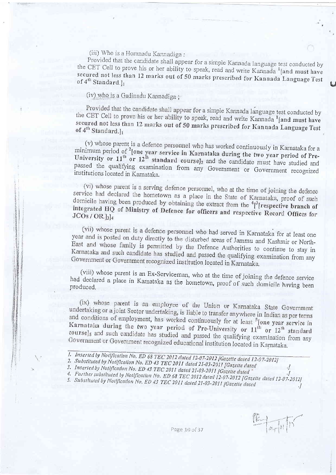(iii) Who is a Horanadu Kannadiga :

Provided that the candidate shall appear for a simple Kannada language test conducted by the CET Cell to prove his or her ability to speak, read and write Kannada<sup>1</sup>[and must have secured not less than 12 marks out of 50 marks prescribed for Kannada Language Test of 4<sup>th</sup> Standard.l.

(iv) who is a Gadinadu Kannadiga;

Provided that the candidate shall appear for a simple Kannada language test conducted by the CET Cell to prove his or her ability to speak, read and write Kannada <sup>1</sup>[and must have secured not less than 12 marks out of 50 marks prescribed for Kannada Language Test of 4<sup>th</sup> Standard.]1

(v) whose parent is a defence personnel who has worked continuously in Karnataka for a minimum period of <sup>2</sup>[one year service in Karnataka during the two year period of Pre-<br>University or 11<sup>th</sup> or 12<sup>th</sup> standard course]<sub>2</sub> and the candidate must have studied and passed the qualifying examination from any Government or Government recognized institutions located in Karnataka.

(vi) whose parent is a serving defence personnel, who at the time of joining the defence service had declared the hometown as a place in the State of Karnataka, proof of such domicile having been produced by obtaining the extract from the  ${}^{4}$ [ ${}^{3}$ [respective branch of integrated HQ of Ministry of Defence for officers and respective Record Offices for  $JCOs / OR.$ ]<sub>3</sub>]<sub>4</sub>

(vii) whose parent is a defence personnel who had served in Karnataka for at least one year and is posted on duty directly to the disturbed areas of Jammu and Kashmir or North-East and whose family is permitted by the Defence Authorities to continue to stay in Karnataka and such candidate has studied and passed the qualifying examination from any Government or Government recognized institution located in Karnataka.

(viii) whose parent is an Ex-Serviceman, who at the time of joining the defence service had declared a place in Karnataka as the hometown, proof of such domicile having been produced.

(ix) whose parent is an employee of the Union or Karnataka State Government undertaking or a joint Sector undertaking, is liable to transfer anywhere in Indian as per terms and conditions of employment, has worked continuously for at least <sup>5</sup>[one year service in Karnataka during the two year period of Pre-University or 11<sup>th</sup> or 12<sup>th</sup> standard course]<sub>5</sub> and such candidate has studied and passed the qualifying examination from any Government or Government recognized educational institution located in Karnataka.

- 1. Inserted by Notlfleation No. ED 68 TEC 2012 dated 12-07-2012 [Gazette dated 12-07-2012]
- 2. Substituted by Notification No. ED 43 TEC 2011 dated 21-03-2011 [Gazette dated
- 3. Inserted by Notification No. ED 43 TEC 2011 dated 21-03-2011 [Gazette dated
- 4. Further substituted by Notification No. ED 68 TEC 2012 dated 12-07-2012 [Gazette dated 12-07-2012] 5. Substituted by Notification No. ED 43 TEC 2011 dated 21-03-2011 [Gazette dated

Page 10 of 37

 $\frac{1}{|b|+|b|}$